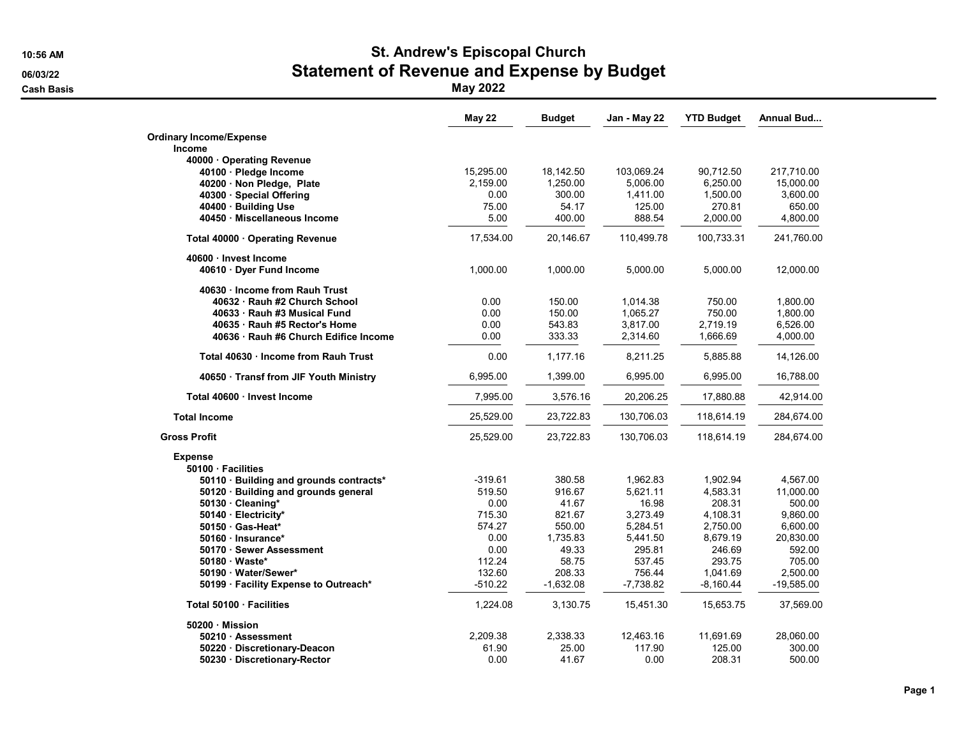## 10:56 AM St. Andrew's Episcopal Church 06/03/22 **Statement of Revenue and Expense by Budget Contract Statement of Revenue and Expense by Budget**

Cash Basis May 2022

|                                         | <b>May 22</b> | <b>Budget</b> | Jan - May 22 | <b>YTD Budget</b> | Annual Bud   |
|-----------------------------------------|---------------|---------------|--------------|-------------------|--------------|
| <b>Ordinary Income/Expense</b>          |               |               |              |                   |              |
| <b>Income</b>                           |               |               |              |                   |              |
| 40000 Operating Revenue                 |               |               |              |                   |              |
| 40100 · Pledge Income                   | 15,295.00     | 18,142.50     | 103,069.24   | 90,712.50         | 217,710.00   |
| 40200 · Non Pledge, Plate               | 2,159.00      | 1,250.00      | 5,006.00     | 6,250.00          | 15,000.00    |
| 40300 · Special Offering                | 0.00          | 300.00        | 1,411.00     | 1,500.00          | 3,600.00     |
| 40400 · Building Use                    | 75.00         | 54.17         | 125.00       | 270.81            | 650.00       |
| 40450 · Miscellaneous Income            | 5.00          | 400.00        | 888.54       | 2,000.00          | 4,800.00     |
| Total 40000 · Operating Revenue         | 17,534.00     | 20,146.67     | 110,499.78   | 100,733.31        | 241,760.00   |
| 40600 · Invest Income                   |               |               |              |                   |              |
| 40610 Dyer Fund Income                  | 1,000.00      | 1,000.00      | 5,000.00     | 5,000.00          | 12,000.00    |
| 40630 Income from Rauh Trust            |               |               |              |                   |              |
| 40632 · Rauh #2 Church School           | 0.00          | 150.00        | 1,014.38     | 750.00            | 1,800.00     |
| 40633 · Rauh #3 Musical Fund            | 0.00          | 150.00        | 1.065.27     | 750.00            | 1,800.00     |
| 40635 · Rauh #5 Rector's Home           | 0.00          | 543.83        | 3,817.00     | 2,719.19          | 6,526.00     |
| 40636 · Rauh #6 Church Edifice Income   | 0.00          | 333.33        | 2,314.60     | 1,666.69          | 4,000.00     |
| Total 40630 · Income from Rauh Trust    | 0.00          | 1,177.16      | 8,211.25     | 5,885.88          | 14,126.00    |
| 40650 · Transf from JIF Youth Ministry  | 6,995.00      | 1,399.00      | 6,995.00     | 6,995.00          | 16,788.00    |
| Total 40600 · Invest Income             | 7,995.00      | 3,576.16      | 20,206.25    | 17,880.88         | 42,914.00    |
| <b>Total Income</b>                     | 25,529.00     | 23,722.83     | 130,706.03   | 118,614.19        | 284,674.00   |
| <b>Gross Profit</b>                     | 25,529.00     | 23,722.83     | 130,706.03   | 118,614.19        | 284,674.00   |
| <b>Expense</b>                          |               |               |              |                   |              |
| 50100 Facilities                        |               |               |              |                   |              |
| 50110 · Building and grounds contracts* | -319.61       | 380.58        | 1,962.83     | 1,902.94          | 4,567.00     |
| 50120 · Building and grounds general    | 519.50        | 916.67        | 5.621.11     | 4,583.31          | 11,000.00    |
| 50130 Cleaning*                         | 0.00          | 41.67         | 16.98        | 208.31            | 500.00       |
| 50140 · Electricity*                    | 715.30        | 821.67        | 3,273.49     | 4,108.31          | 9,860.00     |
| 50150 Gas-Heat*                         | 574.27        | 550.00        | 5,284.51     | 2,750.00          | 6,600.00     |
| 50160 · Insurance*                      | 0.00          | 1,735.83      | 5,441.50     | 8,679.19          | 20,830.00    |
| 50170 · Sewer Assessment                | 0.00          | 49.33         | 295.81       | 246.69            | 592.00       |
| 50180 Waste*                            | 112.24        | 58.75         | 537.45       | 293.75            | 705.00       |
| 50190 · Water/Sewer*                    | 132.60        | 208.33        | 756.44       | 1,041.69          | 2,500.00     |
| 50199 · Facility Expense to Outreach*   | $-510.22$     | $-1,632.08$   | $-7,738.82$  | $-8,160.44$       | $-19,585.00$ |
| Total 50100 · Facilities                | 1,224.08      | 3,130.75      | 15,451.30    | 15,653.75         | 37,569.00    |
| 50200 Mission                           |               |               |              |                   |              |
| 50210 Assessment                        | 2,209.38      | 2.338.33      | 12,463.16    | 11,691.69         | 28,060.00    |
| 50220 Discretionary-Deacon              | 61.90         | 25.00         | 117.90       | 125.00            | 300.00       |
| 50230 Discretionary-Rector              | 0.00          | 41.67         | 0.00         | 208.31            | 500.00       |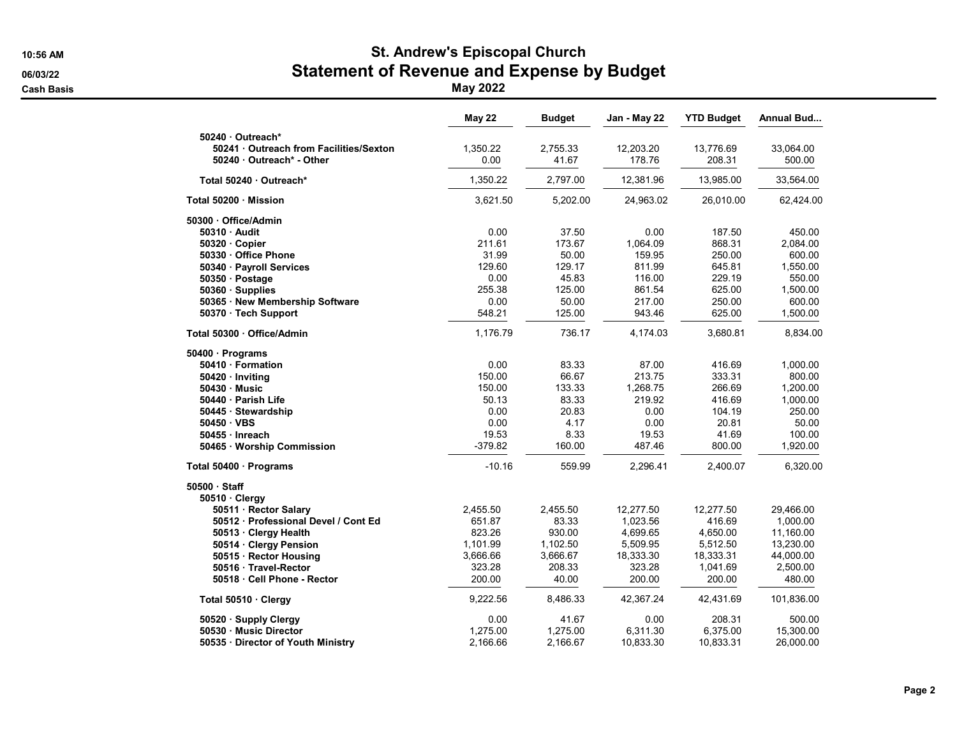## 10:56 AM St. Andrew's Episcopal Church 06/03/22 **Statement of Revenue and Expense by Budget Contract Statement of Revenue and Expense by Budget**

Cash Basis May 2022

|                                                          | <b>May 22</b> | <b>Budget</b> | Jan - May 22 | <b>YTD Budget</b> | Annual Bud |
|----------------------------------------------------------|---------------|---------------|--------------|-------------------|------------|
| 50240 Outreach*<br>50241 Outreach from Facilities/Sexton | 1,350.22      | 2,755.33      | 12,203.20    | 13,776.69         | 33,064.00  |
| 50240 Outreach* - Other                                  | 0.00          | 41.67         | 178.76       | 208.31            | 500.00     |
| Total 50240 · Outreach*                                  | 1,350.22      | 2,797.00      | 12,381.96    | 13,985.00         | 33,564.00  |
| Total 50200 · Mission                                    | 3,621.50      | 5,202.00      | 24,963.02    | 26,010.00         | 62,424.00  |
| 50300 Office/Admin                                       |               |               |              |                   |            |
| 50310 Audit                                              | 0.00          | 37.50         | 0.00         | 187.50            | 450.00     |
| $50320 \cdot Copier$                                     | 211.61        | 173.67        | 1,064.09     | 868.31            | 2,084.00   |
| 50330 Office Phone                                       | 31.99         | 50.00         | 159.95       | 250.00            | 600.00     |
| 50340 · Payroll Services                                 | 129.60        | 129.17        | 811.99       | 645.81            | 1,550.00   |
| 50350 Postage                                            | 0.00          | 45.83         | 116.00       | 229.19            | 550.00     |
| 50360 · Supplies                                         | 255.38        | 125.00        | 861.54       | 625.00            | 1,500.00   |
| 50365 · New Membership Software                          | 0.00          | 50.00         | 217.00       | 250.00            | 600.00     |
| 50370 · Tech Support                                     | 548.21        | 125.00        | 943.46       | 625.00            | 1,500.00   |
| Total 50300 · Office/Admin                               | 1,176.79      | 736.17        | 4,174.03     | 3,680.81          | 8,834.00   |
| 50400 · Programs                                         |               |               |              |                   |            |
| 50410 · Formation                                        | 0.00          | 83.33         | 87.00        | 416.69            | 1,000.00   |
| 50420 · Inviting                                         | 150.00        | 66.67         | 213.75       | 333.31            | 800.00     |
| 50430 Music                                              | 150.00        | 133.33        | 1,268.75     | 266.69            | 1,200.00   |
| 50440 · Parish Life                                      | 50.13         | 83.33         | 219.92       | 416.69            | 1,000.00   |
| 50445 · Stewardship                                      | 0.00          | 20.83         | 0.00         | 104.19            | 250.00     |
| 50450 VBS                                                | 0.00          | 4.17          | 0.00         | 20.81             | 50.00      |
| 50455 Inreach                                            | 19.53         | 8.33          | 19.53        | 41.69             | 100.00     |
| 50465 · Worship Commission                               | $-379.82$     | 160.00        | 487.46       | 800.00            | 1,920.00   |
| Total 50400 · Programs                                   | $-10.16$      | 559.99        | 2,296.41     | 2,400.07          | 6,320.00   |
| 50500 · Staff                                            |               |               |              |                   |            |
| 50510 Clergy                                             |               |               |              |                   |            |
| 50511 · Rector Salary                                    | 2,455.50      | 2,455.50      | 12,277.50    | 12,277.50         | 29,466.00  |
| 50512 · Professional Devel / Cont Ed                     | 651.87        | 83.33         | 1,023.56     | 416.69            | 1,000.00   |
| 50513 · Clergy Health                                    | 823.26        | 930.00        | 4,699.65     | 4,650.00          | 11,160.00  |
| 50514 · Clergy Pension                                   | 1,101.99      | 1,102.50      | 5,509.95     | 5,512.50          | 13,230.00  |
| 50515 · Rector Housing                                   | 3,666.66      | 3,666.67      | 18,333.30    | 18,333.31         | 44,000.00  |
| 50516 · Travel-Rector                                    | 323.28        | 208.33        | 323.28       | 1,041.69          | 2,500.00   |
| 50518 Cell Phone - Rector                                | 200.00        | 40.00         | 200.00       | 200.00            | 480.00     |
| Total 50510 · Clergy                                     | 9,222.56      | 8,486.33      | 42,367.24    | 42,431.69         | 101,836.00 |
| 50520 · Supply Clergy                                    | 0.00          | 41.67         | 0.00         | 208.31            | 500.00     |
| 50530 Music Director                                     | 1.275.00      | 1.275.00      | 6.311.30     | 6,375.00          | 15,300.00  |
| 50535 Director of Youth Ministry                         | 2,166.66      | 2,166.67      | 10,833.30    | 10,833.31         | 26,000.00  |